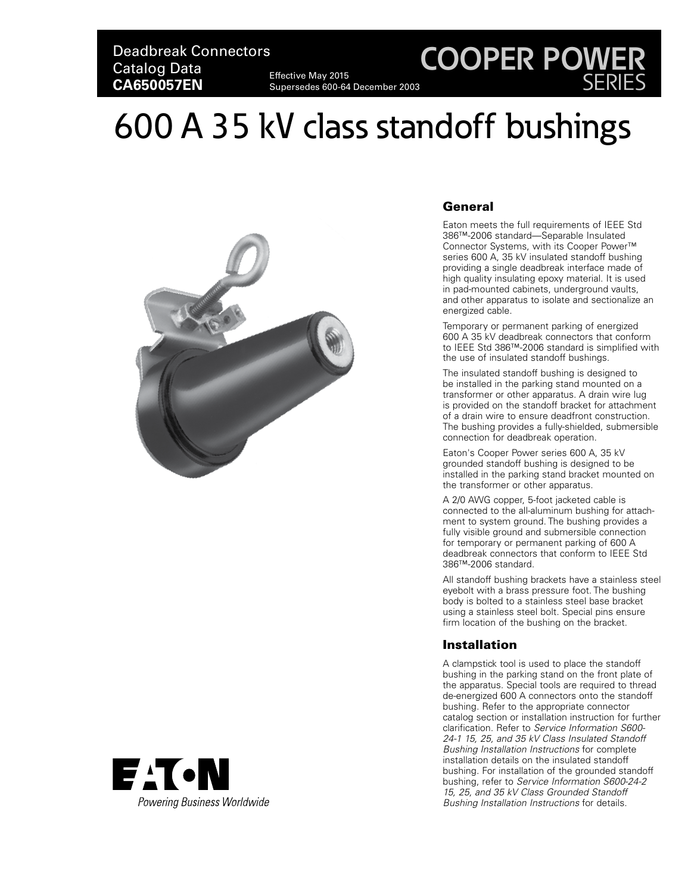# Deadbreak Connectors Catalog Data **CA650057EN** Effective May 2015

Supersedes 600-64 December 2003 **COOPER POWER**

# 600 A 35 kV class standoff bushings





## **General**

Eaton meets the full requirements of IEEE Std 386™-2006 standard—Separable Insulated Connector Systems, with its Cooper Power™ series 600 A, 35 kV insulated standoff bushing providing a single deadbreak interface made of high quality insulating epoxy material. It is used in pad-mounted cabinets, underground vaults, and other apparatus to isolate and sectionalize an energized cable.

SERIES

Temporary or permanent parking of energized 600 A 35 kV deadbreak connectors that conform to IEEE Std 386™-2006 standard is simplified with the use of insulated standoff bushings.

The insulated standoff bushing is designed to be installed in the parking stand mounted on a transformer or other apparatus. A drain wire lug is provided on the standoff bracket for attachment of a drain wire to ensure deadfront construction. The bushing provides a fully-shielded, submersible connection for deadbreak operation.

Eaton's Cooper Power series 600 A, 35 kV grounded standoff bushing is designed to be installed in the parking stand bracket mounted on the transformer or other apparatus.

A 2/0 AWG copper, 5-foot jacketed cable is connected to the all-aluminum bushing for attachment to system ground. The bushing provides a fully visible ground and submersible connection for temporary or permanent parking of 600 A deadbreak connectors that conform to IEEE Std 386™-2006 standard.

All standoff bushing brackets have a stainless steel eyebolt with a brass pressure foot. The bushing body is bolted to a stainless steel base bracket using a stainless steel bolt. Special pins ensure firm location of the bushing on the bracket.

# Installation

A clampstick tool is used to place the standoff bushing in the parking stand on the front plate of the apparatus. Special tools are required to thread de-energized 600 A connectors onto the standoff bushing. Refer to the appropriate connector catalog section or installation instruction for further clarification. Refer to *Service Information S600- 24-1 15, 25, and 35 kV Class Insulated Standoff Bushing Installation Instructions* for complete installation details on the insulated standoff bushing. For installation of the grounded standoff bushing, refer to *Service Information S600-24-2 15, 25, and 35 kV Class Grounded Standoff Bushing Installation Instructions* for details.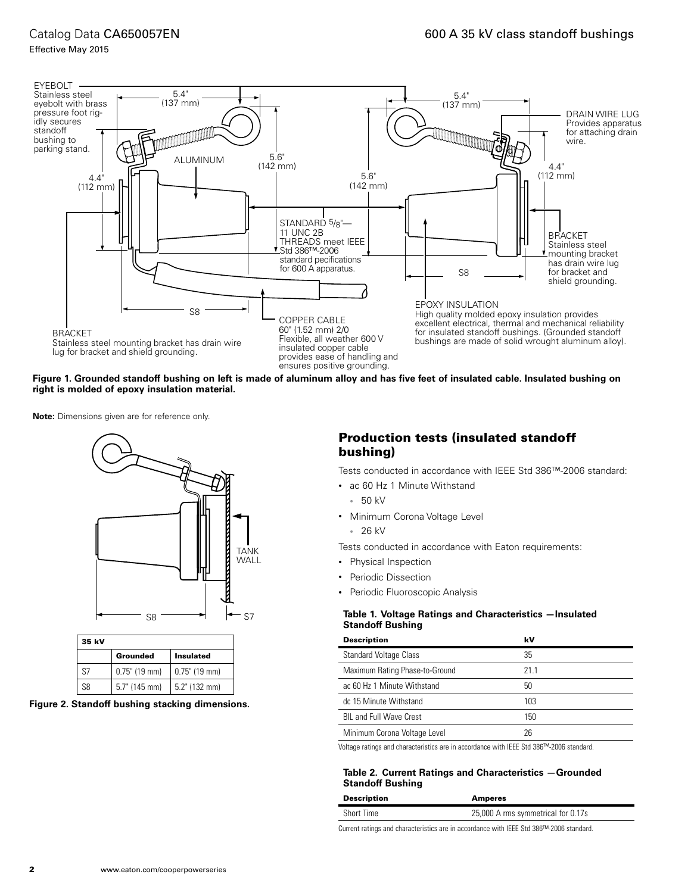# Catalog Data CA650057EN

Effective May 2015



**Figure 1. Grounded standoff bushing on left is made of aluminum alloy and has five feet of insulated cable. Insulated bushing on right is molded of epoxy insulation material.**

**Note:** Dimensions given are for reference only.



| 35 kV |                  |                  |
|-------|------------------|------------------|
|       | Grounded         | <b>Insulated</b> |
| S7    | $0.75$ " (19 mm) | $0.75$ " (19 mm) |
| S8    | $5.7$ " (145 mm) | $5.2"$ (132 mm)  |

**Figure 2. Standoff bushing stacking dimensions.**

# Production tests (insulated standoff bushing)

Tests conducted in accordance with IEEE Std 386™-2006 standard:

- ac 60 Hz 1 Minute Withstand
	- 50 kV
- Minimum Corona Voltage Level
	- 26 kV

Tests conducted in accordance with Eaton requirements:

- Physical Inspection
- Periodic Dissection
- Periodic Fluoroscopic Analysis

#### **Table 1. Voltage Ratings and Characteristics —Insulated Standoff Bushing**

| kV   |
|------|
| 35   |
| 21 1 |
| 50   |
| 103  |
| 150  |
| 26   |
|      |

Voltage ratings and characteristics are in accordance with IEEE Std 386™-2006 standard.

### **Table 2. Current Ratings and Characteristics —Grounded Standoff Bushing**

| <b>Description</b> | <b>Amperes</b>                     |
|--------------------|------------------------------------|
| Short Time         | 25,000 A rms symmetrical for 0.17s |

Current ratings and characteristics are in accordance with IEEE Std 386™-2006 standard.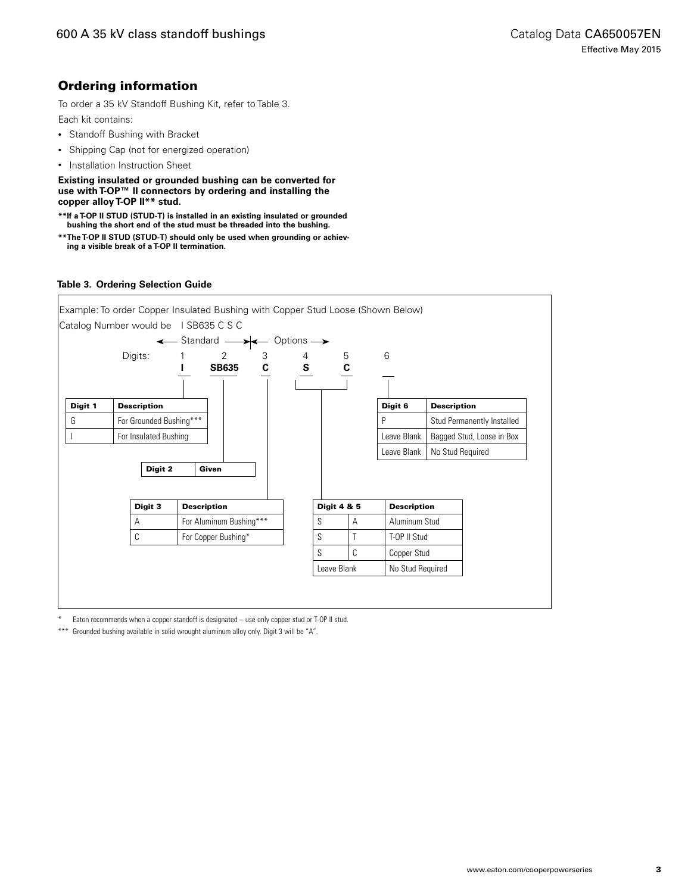# Ordering information

To order a 35 kV Standoff Bushing Kit, refer to Table 3. Each kit contains:

- Standoff Bushing with Bracket
- Shipping Cap (not for energized operation)
- Installation Instruction Sheet

**Existing insulated or grounded bushing can be converted for use with T-OP™ II connectors by ordering and installing the copper alloy T-OP II\*\* stud.**

**\*\*If a T-OP II STUD (STUD-T) is installed in an existing insulated or grounded bushing the short end of the stud must be threaded into the bushing.**

**\*\*The T-OP II STUD (STUD-T) should only be used when grounding or achieving a visible break of a T-OP II termination.**

#### **Table 3. Ordering Selection Guide**



Eaton recommends when a copper standoff is designated – use only copper stud or T-OP II stud.

\*\*\* Grounded bushing available in solid wrought aluminum alloy only. Digit 3 will be "A".